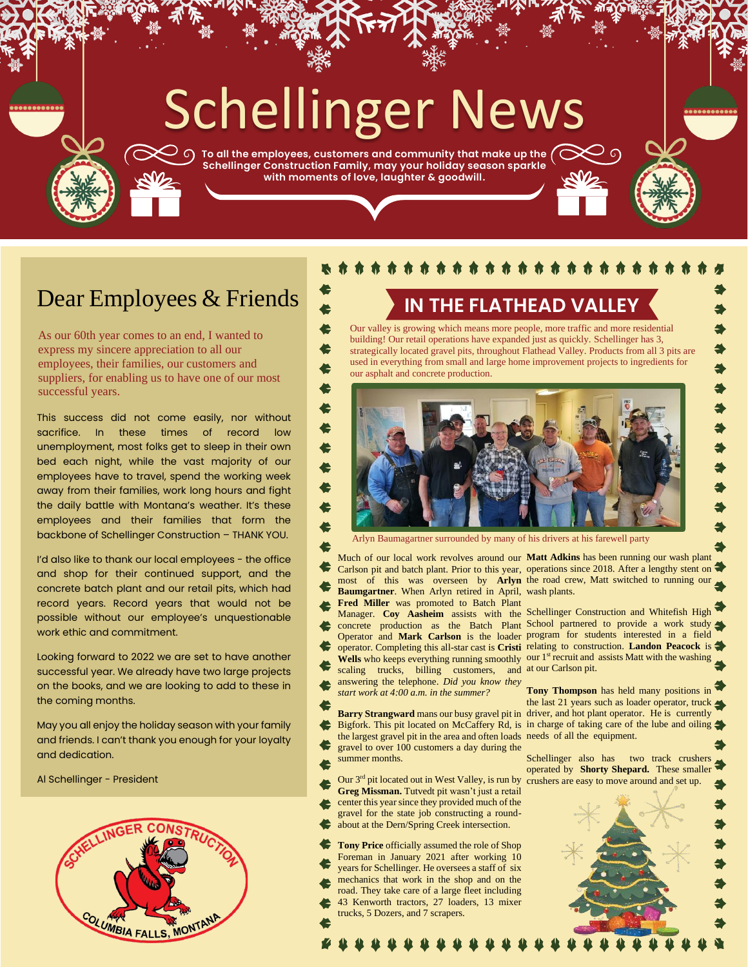# Schellinger News

 $\gg$   $\circ$  To all the employees, customers and community that make up the  $\curvearrowright \circ$ **Schellinger Construction Family, may your holiday season sparkle with moments of love, laughter & goodwill.**

> €  $\blacklozenge$

### Dear Employees & Friends

As our 60th year comes to an end, I wanted to express my sincere appreciation to all our employees, their families, our customers and suppliers, for enabling us to have one of our most successful years.

This success did not come easily, nor without sacrifice. In these times of record low unemployment, most folks get to sleep in their own bed each night, while the vast majority of our employees have to travel, spend the working week away from their families, work long hours and fight the daily battle with Montana's weather. It's these employees and their families that form the backbone of Schellinger Construction – THANK YOU.

I'd also like to thank our local employees - the office and shop for their continued support, and the concrete batch plant and our retail pits, which had record years. Record years that would not be possible without our employee's unquestionable work ethic and commitment.

Looking forward to 2022 we are set to have another successful year. We already have two large projects on the books, and we are looking to add to these in the coming months.

May you all enjoy the holiday season with your family and friends. I can't thank you enough for your loyalty and dedication.

Al Schellinger - President



#### \* \* \* \* \* \* \* \* \* \* \*

**IN THE FLATHEAD VALLEY**

Our valley is growing which means more people, more traffic and more residential building! Our retail operations have expanded just as quickly. Schellinger has 3,



Arlyn Baumagartner surrounded by many of his drivers at his farewell party

Much of our local work revolves around our **Matt Adkins** has been running our wash plant **Baumgartner**. When Arlyn retired in April, wash plants.

**Fred Miller** was promoted to Batch Plant Manager. **Coy Aasheim** assists with the Schellinger Construction and Whitefish High

- scaling trucks, billing customers, and at our Carlson pit. answering the telephone. *Did you know they*
- *start work at 4:00 a.m. in the summer?*
- the largest gravel pit in the area and often loads needs of all the equipment.
- gravel to over 100 customers a day during the summer months.
- **Greg Missman.** Tutvedt pit wasn't just a retail center this year since they provided much of the gravel for the state job constructing a round-
- about at the Dern/Spring Creek intersection.
- **Tony Price** officially assumed the role of Shop Foreman in January 2021 after working 10
- years for Schellinger. He oversees a staff of six mechanics that work in the shop and on the
- road. They take care of a large fleet including 43 Kenworth tractors, 27 loaders, 13 mixer trucks, 5 Dozers, and 7 scrapers.
	-

Carlson pit and batch plant. Prior to this year, operations since 2018. After a lengthy stent on most of this was overseen by **Arlyn** the road crew, Matt switched to running our

concrete production as the Batch Plant School partnered to provide a work study Operator and **Mark Carlson** is the loader program for students interested in a field operator. Completing this all-star cast is **Cristi**  relating to construction. **Landon Peacock** is Wells who keeps everything running smoothly our 1<sup>st</sup> recruit and assists Matt with the washing

**Barry Strangward** mans our busy gravel pit in driver, and hot plant operator. He is currently Bigfork. This pit located on McCaffery Rd, is in charge of taking care of the lube and oiling **Tony Thompson** has held many positions in the last 21 years such as loader operator, truck

Our 3<sup>rd</sup> pit located out in West Valley, is run by crushers are easy to move around and set up. Schellinger also has two track crushers operated by **Shorty Shepard.** These smaller